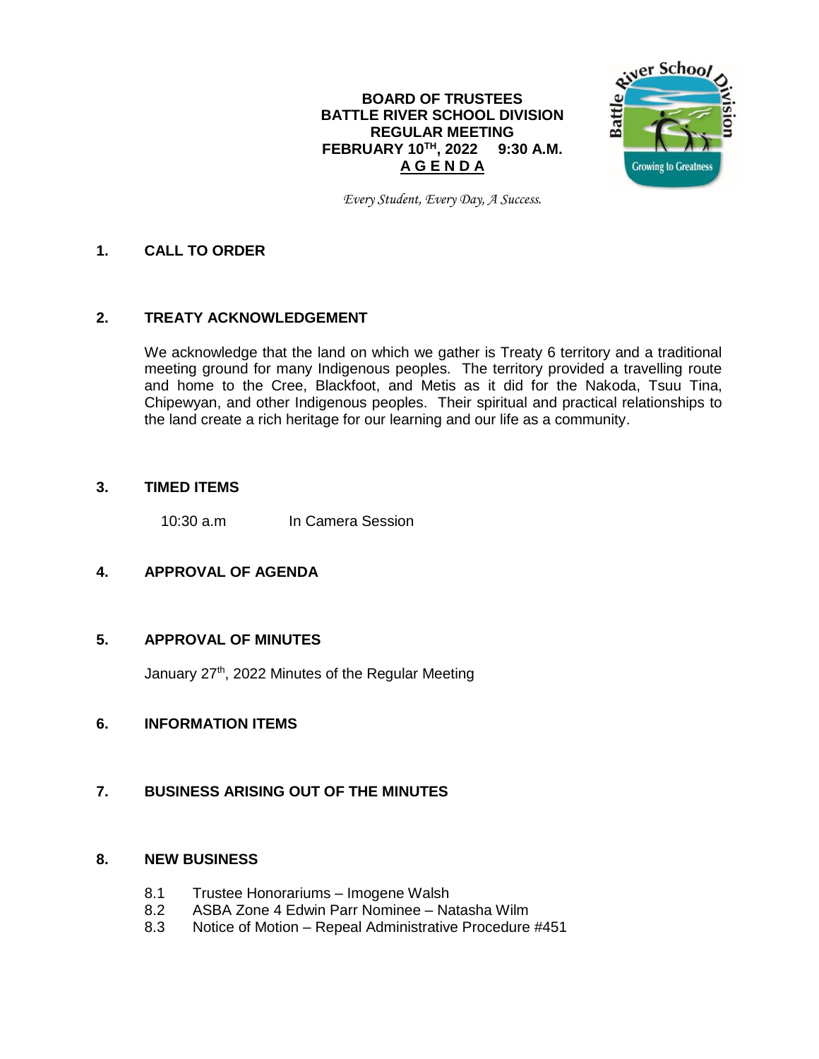## **BOARD OF TRUSTEES BATTLE RIVER SCHOOL DIVISION REGULAR MEETING FEBRUARY 10TH , 2022 9:30 A.M. A G E N D A**



*Every Student, Every Day, A Success.*

## **1. CALL TO ORDER**

## **2. TREATY ACKNOWLEDGEMENT**

We acknowledge that the land on which we gather is Treaty 6 territory and a traditional meeting ground for many Indigenous peoples. The territory provided a travelling route and home to the Cree, Blackfoot, and Metis as it did for the Nakoda, Tsuu Tina, Chipewyan, and other Indigenous peoples. Their spiritual and practical relationships to the land create a rich heritage for our learning and our life as a community.

### **3. TIMED ITEMS**

10:30 a.m In Camera Session

## **4. APPROVAL OF AGENDA**

#### **5. APPROVAL OF MINUTES**

January 27<sup>th</sup>, 2022 Minutes of the Regular Meeting

## **6. INFORMATION ITEMS**

#### **7. BUSINESS ARISING OUT OF THE MINUTES**

#### **8. NEW BUSINESS**

- 8.1 Trustee Honorariums Imogene Walsh
- 8.2 ASBA Zone 4 Edwin Parr Nominee Natasha Wilm
- 8.3 Notice of Motion Repeal Administrative Procedure #451